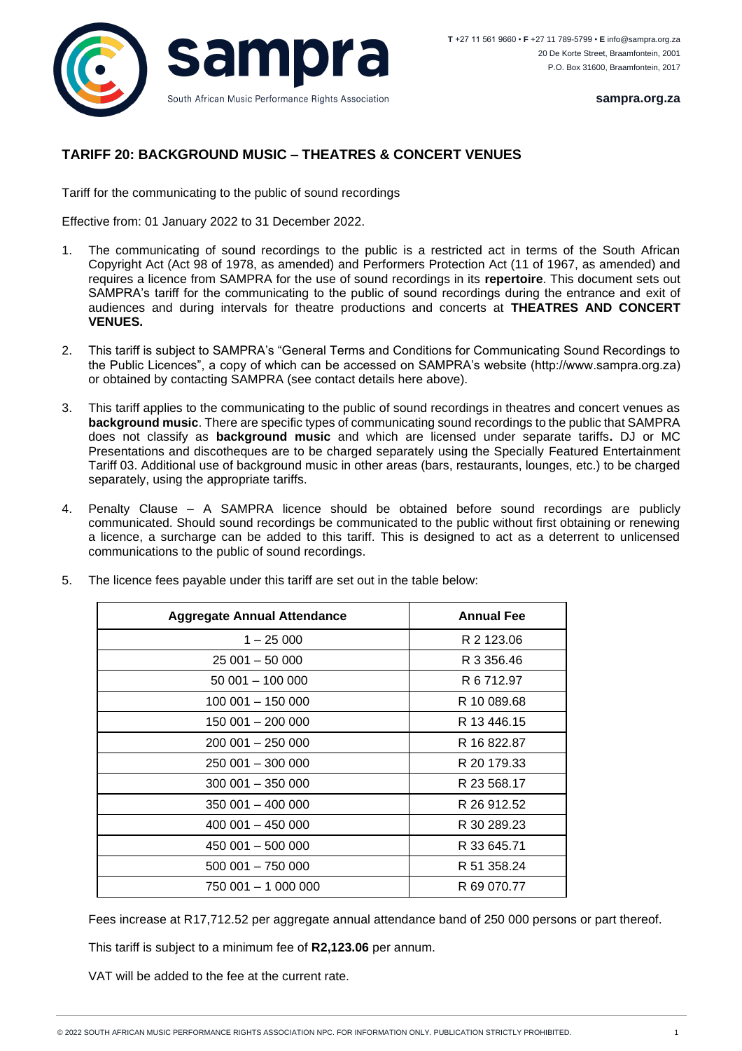

**sampra.org.za**

## **TARIFF 20: BACKGROUND MUSIC – THEATRES & CONCERT VENUES**

Tariff for the communicating to the public of sound recordings

Effective from: 01 January 2022 to 31 December 2022.

- 1. The communicating of sound recordings to the public is a restricted act in terms of the South African Copyright Act (Act 98 of 1978, as amended) and Performers Protection Act (11 of 1967, as amended) and requires a licence from SAMPRA for the use of sound recordings in its **repertoire**. This document sets out SAMPRA's tariff for the communicating to the public of sound recordings during the entrance and exit of audiences and during intervals for theatre productions and concerts at **THEATRES AND CONCERT VENUES.**
- 2. This tariff is subject to SAMPRA's "General Terms and Conditions for Communicating Sound Recordings to the Public Licences", a copy of which can be accessed on SAMPRA's website (http://www.sampra.org.za) or obtained by contacting SAMPRA (see contact details here above).
- 3. This tariff applies to the communicating to the public of sound recordings in theatres and concert venues as **background music**. There are specific types of communicating sound recordings to the public that SAMPRA does not classify as **background music** and which are licensed under separate tariffs**.** DJ or MC Presentations and discotheques are to be charged separately using the Specially Featured Entertainment Tariff 03. Additional use of background music in other areas (bars, restaurants, lounges, etc.) to be charged separately, using the appropriate tariffs.
- 4. Penalty Clause A SAMPRA licence should be obtained before sound recordings are publicly communicated. Should sound recordings be communicated to the public without first obtaining or renewing a licence, a surcharge can be added to this tariff. This is designed to act as a deterrent to unlicensed communications to the public of sound recordings.

| <b>Aggregate Annual Attendance</b> | <b>Annual Fee</b> |
|------------------------------------|-------------------|
| $1 - 25000$                        | R 2 123.06        |
| $25001 - 50000$                    | R 3 356.46        |
| $50001 - 100000$                   | R 6 712.97        |
| 100 001 - 150 000                  | R 10 089.68       |
| 150 001 - 200 000                  | R 13 446.15       |
| 200 001 - 250 000                  | R 16 822.87       |
| 250 001 - 300 000                  | R 20 179.33       |
| 300 001 - 350 000                  | R 23 568.17       |
| 350 001 - 400 000                  | R 26 912.52       |
| 400 001 - 450 000                  | R 30 289.23       |
| 450 001 - 500 000                  | R 33 645.71       |
| 500 001 - 750 000                  | R 51 358.24       |
| 750 001 - 1 000 000                | R 69 070.77       |

5. The licence fees payable under this tariff are set out in the table below:

Fees increase at R17,712.52 per aggregate annual attendance band of 250 000 persons or part thereof.

This tariff is subject to a minimum fee of **R2,123.06** per annum.

VAT will be added to the fee at the current rate.